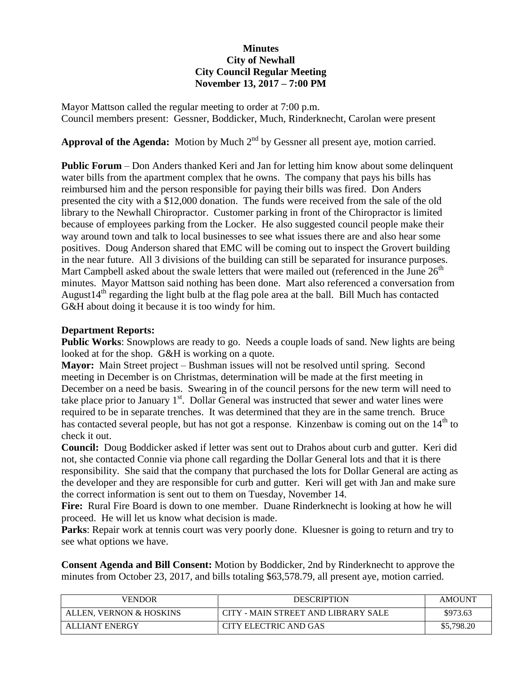## **Minutes City of Newhall City Council Regular Meeting November 13, 2017 – 7:00 PM**

Mayor Mattson called the regular meeting to order at 7:00 p.m. Council members present: Gessner, Boddicker, Much, Rinderknecht, Carolan were present

**Approval of the Agenda:** Motion by Much  $2<sup>nd</sup>$  by Gessner all present aye, motion carried.

**Public Forum** – Don Anders thanked Keri and Jan for letting him know about some delinquent water bills from the apartment complex that he owns. The company that pays his bills has reimbursed him and the person responsible for paying their bills was fired. Don Anders presented the city with a \$12,000 donation. The funds were received from the sale of the old library to the Newhall Chiropractor. Customer parking in front of the Chiropractor is limited because of employees parking from the Locker. He also suggested council people make their way around town and talk to local businesses to see what issues there are and also hear some positives. Doug Anderson shared that EMC will be coming out to inspect the Grovert building in the near future. All 3 divisions of the building can still be separated for insurance purposes. Mart Campbell asked about the swale letters that were mailed out (referenced in the June  $26<sup>th</sup>$ minutes. Mayor Mattson said nothing has been done. Mart also referenced a conversation from August $14<sup>th</sup>$  regarding the light bulb at the flag pole area at the ball. Bill Much has contacted G&H about doing it because it is too windy for him.

## **Department Reports:**

**Public Works:** Snowplows are ready to go. Needs a couple loads of sand. New lights are being looked at for the shop. G&H is working on a quote.

**Mayor:** Main Street project – Bushman issues will not be resolved until spring. Second meeting in December is on Christmas, determination will be made at the first meeting in December on a need be basis. Swearing in of the council persons for the new term will need to take place prior to January  $1<sup>st</sup>$ . Dollar General was instructed that sewer and water lines were required to be in separate trenches. It was determined that they are in the same trench. Bruce has contacted several people, but has not got a response. Kinzenbaw is coming out on the  $14<sup>th</sup>$  to check it out.

**Council:** Doug Boddicker asked if letter was sent out to Drahos about curb and gutter. Keri did not, she contacted Connie via phone call regarding the Dollar General lots and that it is there responsibility. She said that the company that purchased the lots for Dollar General are acting as the developer and they are responsible for curb and gutter. Keri will get with Jan and make sure the correct information is sent out to them on Tuesday, November 14.

**Fire:** Rural Fire Board is down to one member. Duane Rinderknecht is looking at how he will proceed. He will let us know what decision is made.

Parks: Repair work at tennis court was very poorly done. Kluesner is going to return and try to see what options we have.

**Consent Agenda and Bill Consent:** Motion by Boddicker, 2nd by Rinderknecht to approve the minutes from October 23, 2017, and bills totaling \$63,578.79, all present aye, motion carried.

| VENDOR                  | <b>DESCRIPTION</b>                  | <b>AMOUNT</b> |
|-------------------------|-------------------------------------|---------------|
| ALLEN. VERNON & HOSKINS | CITY - MAIN STREET AND LIBRARY SALE | \$973.63      |
| <b>ALLIANT ENERGY</b>   | CITY ELECTRIC AND GAS               | \$5,798.20    |